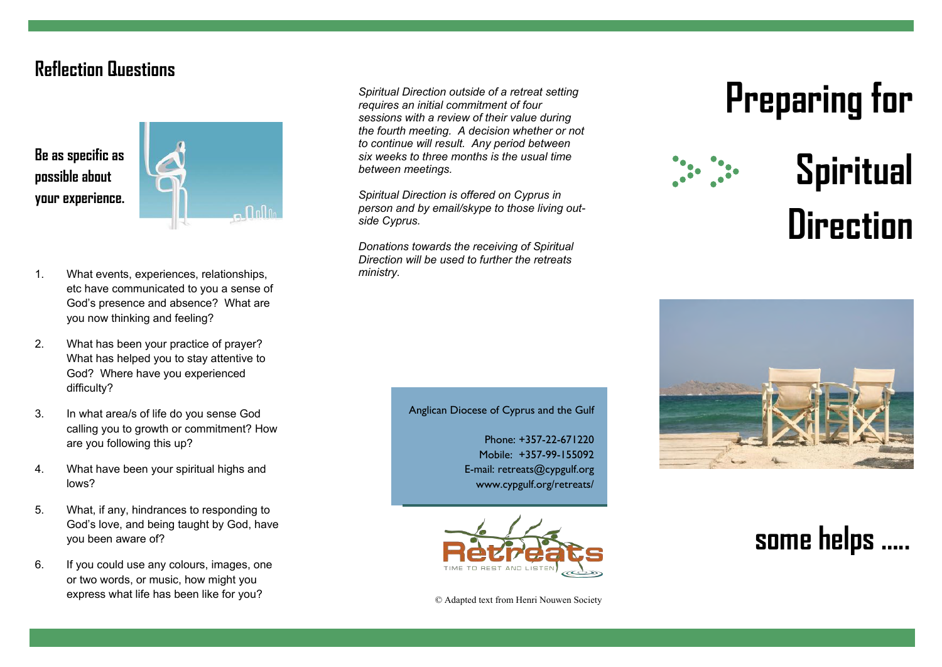## **Reflection Questions**





- 1. What events, experiences, relationships, etc have communicated to you a sense of God's presence and absence? What are you now thinking and feeling?
- 2. What has been your practice of prayer? What has helped you to stay attentive to God? Where have you experienced difficulty?
- 3. In what area/s of life do you sense God calling you to growth or commitment? How are you following this up?
- 4. What have been your spiritual highs and lows?
- 5. What, if any, hindrances to responding to God's love, and being taught by God, have you been aware of?
- 6. If you could use any colours, images, one or two words, or music, how might you express what life has been like for you?

*Spiritual Direction outside of a retreat setting requires an initial commitment of four sessions with a review of their value during the fourth meeting. A decision whether or not to continue will result. Any period between six weeks to three months is the usual time between meetings.* 

*Spiritual Direction is offered on Cyprus in person and by email/skype to those living outside Cyprus.* 

*Donations towards the receiving of Spiritual Direction will be used to further the retreats ministry.* 

# **Preparing for**



## **Spiritual Direction**



#### Anglican Diocese of Cyprus and the Gulf

Phone: +357-22-671220 Mobile: +357-99-155092 E-mail: retreats@cypgulf.org www.cypgulf.org/retreats/



© Adapted text from Henri Nouwen Society

## **some helps …..**